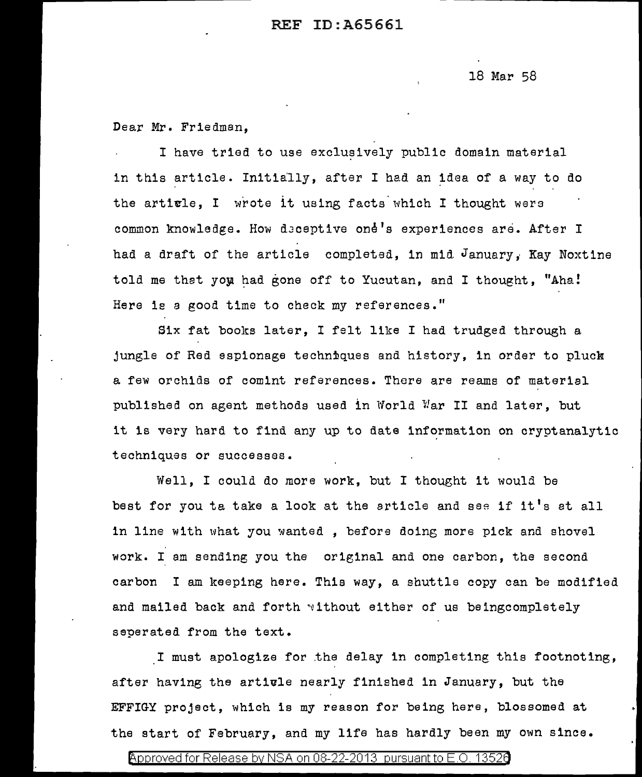## REF ID:A65661

18 Mar 58

Dear Mr. Friedman,

I have tried to use exclusively public domain material in this article. Initially, after I had an idea of a way to do the article. I wrote it using facts which I thought were common knowledge. How deceptive one's experiences are. After I had a draft of the article completed, in mid. January,. Kay Noxtine told me that you had gone off to Yucutan, and I thought, "Aha! Here is a good time to check my references."

Six fat books later, I felt like I had trudged through a jungle of Red espionage techniques and history, in order to pluck a few orchids of comint references. There are reams of material published on agent methods used in World War II and later, but it is very hard to find any up to date information on cryptanalytic techniques or successes.

Well, I could do more work, but I thought it would be best for you ta take a look at the article and see if it's at all in line with what you wanted , before doing more pick and shovel work. I am sending you the original and one carbon, the second carbon I am keeping here. This way, a shuttle copy can be modified and mailed back and forth without either of us beingcompletely seperated from the text.

I must apologize for .the delay in completing this footnoting, after having the artivle nearly finished in January, but the EFFIGY project, which is my reason for being here, blossomed at the start of February, and my life has hardly been my own since.

Approved for Release by NSA on 08-22-2013 pursuant to E.O. 1352a